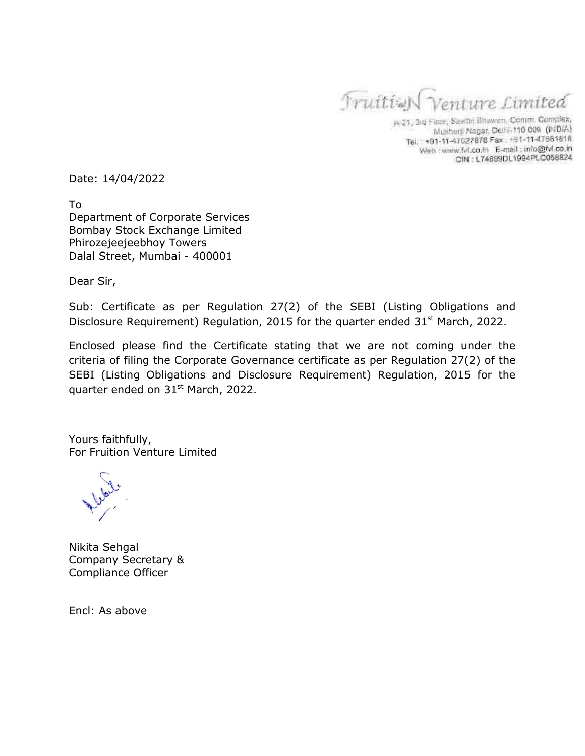Truities Venture Limited

A-21, 3rd Floor, Savite Bhawan, Comm. Complex, Munherji Nagar, Delhi, 110 009 (INDIA) Tel. +91-11-47027878 Fax: +91-11-47561818 Web : www.fvl.co.in E-mail : mfo@fvl.co.in CIN: L74899DL1994PLC058824

Date: 14/04/2022

To Department of Corporate Services Bombay Stock Exchange Limited Phirozejeejeebhoy Towers Dalal Street, Mumbai - 400001

Dear Sir,

Sub: Certificate as per Regulation 27(2) of the SEBI (Listing Obligations and Disclosure Requirement) Regulation, 2015 for the quarter ended  $31<sup>st</sup>$  March, 2022.

Enclosed please find the Certificate stating that we are not coming under the criteria of filing the Corporate Governance certificate as per Regulation 27(2) of the SEBI (Listing Obligations and Disclosure Requirement) Regulation, 2015 for the quarter ended on 31<sup>st</sup> March, 2022.

Yours faithfully, For Fruition Venture Limited

Nikita Sehgal Company Secretary & Compliance Officer

Encl: As above